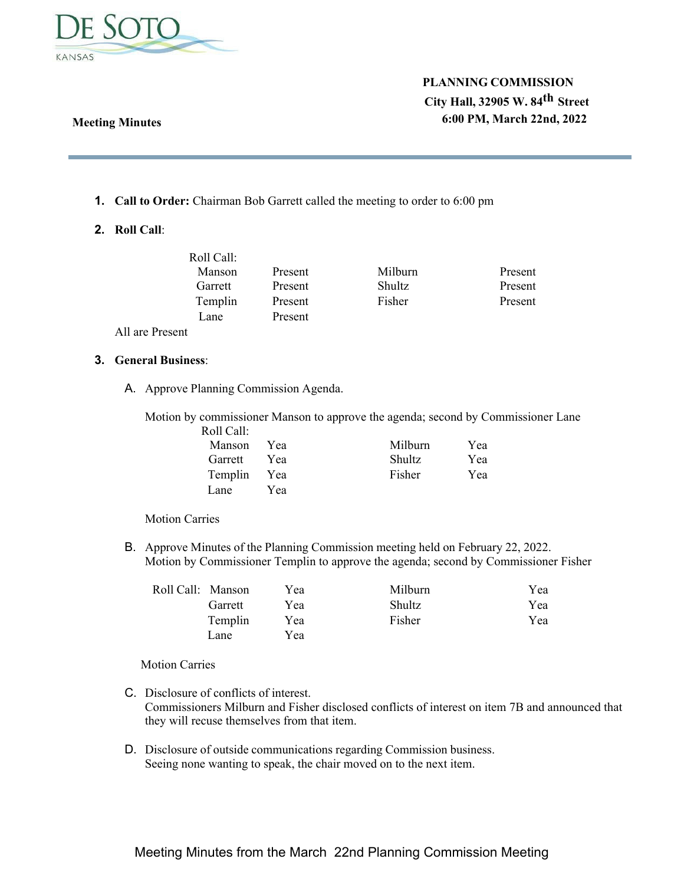

## **Meeting Minutes**

# **PLANNING COMMISSION City Hall, 32905 W. 84th Street 6:00 PM, March 22nd, 2022**

- **1. Call to Order:** Chairman Bob Garrett called the meeting to order to 6:00 pm
- **2. Roll Call**:

| Roll Call: |         |               |         |
|------------|---------|---------------|---------|
| Manson     | Present | Milburn       | Present |
| Garrett    | Present | <b>Shultz</b> | Present |
| Templin    | Present | Fisher        | Present |
| Lane.      | Present |               |         |
|            |         |               |         |

All are Present

## **3. General Business**:

A. Approve Planning Commission Agenda.

Motion by commissioner Manson to approve the agenda; second by Commissioner Lane

| Roll Call:  |     |         |     |
|-------------|-----|---------|-----|
| Manson      | Yea | Milburn | Yea |
| Garrett     | Yea | Shultz  | Yea |
| Templin Yea |     | Fisher  | Yea |
| Lane.       | Yea |         |     |

Motion Carries

B. Approve Minutes of the Planning Commission meeting held on February 22, 2022. Motion by Commissioner Templin to approve the agenda; second by Commissioner Fisher

| Roll Call: Manson |         | Yea | Milburn       | Yea |
|-------------------|---------|-----|---------------|-----|
|                   | Garrett | Yea | <b>Shultz</b> | Yea |
|                   | Templin | Yea | Fisher        | Yea |
|                   | Lane    | Yea |               |     |

Motion Carries

- C. Disclosure of conflicts of interest. Commissioners Milburn and Fisher disclosed conflicts of interest on item 7B and announced that they will recuse themselves from that item.
- D. Disclosure of outside communications regarding Commission business. Seeing none wanting to speak, the chair moved on to the next item.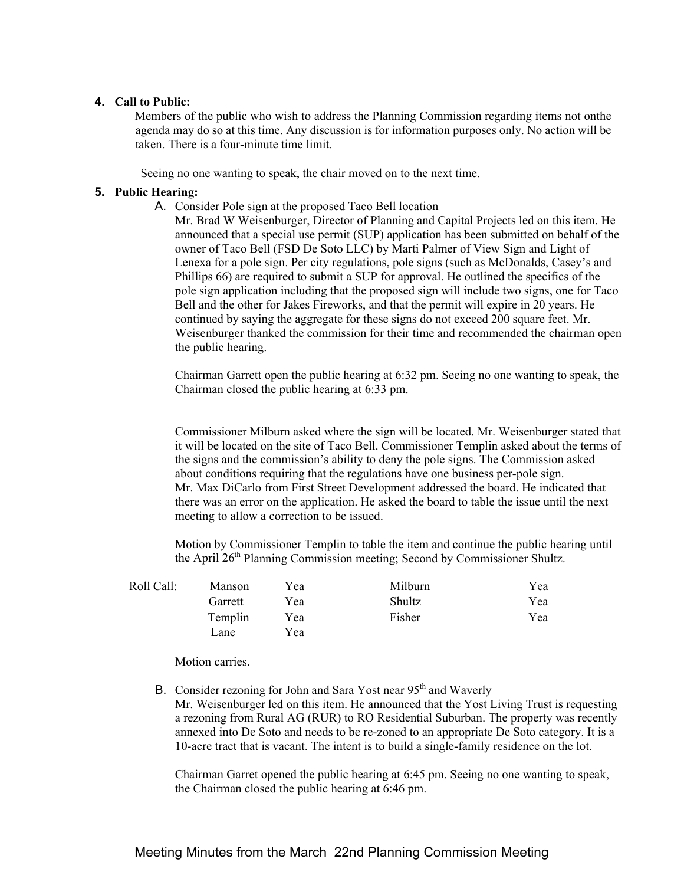### **4. Call to Public:**

Members of the public who wish to address the Planning Commission regarding items not on the agenda may do so at this time. Any discussion is for information purposes only. No action will be taken. There is a four-minute time limit.

Seeing no one wanting to speak, the chair moved on to the next time.

### **5. Public Hearing:**

A. Consider Pole sign at the proposed Taco Bell location

Mr. Brad W Weisenburger, Director of Planning and Capital Projects led on this item. He announced that a special use permit (SUP) application has been submitted on behalf of the owner of Taco Bell (FSD De Soto LLC) by Marti Palmer of View Sign and Light of Lenexa for a pole sign. Per city regulations, pole signs (such as McDonalds, Casey's and Phillips 66) are required to submit a SUP for approval. He outlined the specifics of the pole sign application including that the proposed sign will include two signs, one for Taco Bell and the other for Jakes Fireworks, and that the permit will expire in 20 years. He continued by saying the aggregate for these signs do not exceed 200 square feet. Mr. Weisenburger thanked the commission for their time and recommended the chairman open the public hearing.

Chairman Garrett open the public hearing at 6:32 pm. Seeing no one wanting to speak, the Chairman closed the public hearing at 6:33 pm.

Commissioner Milburn asked where the sign will be located. Mr. Weisenburger stated that it will be located on the site of Taco Bell. Commissioner Templin asked about the terms of the signs and the commission's ability to deny the pole signs. The Commission asked about conditions requiring that the regulations have one business per-pole sign. Mr. Max DiCarlo from First Street Development addressed the board. He indicated that there was an error on the application. He asked the board to table the issue until the next meeting to allow a correction to be issued.

Motion by Commissioner Templin to table the item and continue the public hearing until the April 26<sup>th</sup> Planning Commission meeting; Second by Commissioner Shultz.

| Roll Call: | Manson  | Yea | Milburn | Yea |
|------------|---------|-----|---------|-----|
|            | Garrett | Yea | Shultz  | Yea |
|            | Templin | Yea | Fisher  | Yea |
|            | Lane    | Yea |         |     |

Motion carries.

B. Consider rezoning for John and Sara Yost near 95<sup>th</sup> and Waverly Mr. Weisenburger led on this item. He announced that the Yost Living Trust is requesting a rezoning from Rural AG (RUR) to RO Residential Suburban. The property was recently annexed into De Soto and needs to be re-zoned to an appropriate De Soto category. It is a 10-acre tract that is vacant. The intent is to build a single-family residence on the lot.

Chairman Garret opened the public hearing at 6:45 pm. Seeing no one wanting to speak, the Chairman closed the public hearing at 6:46 pm.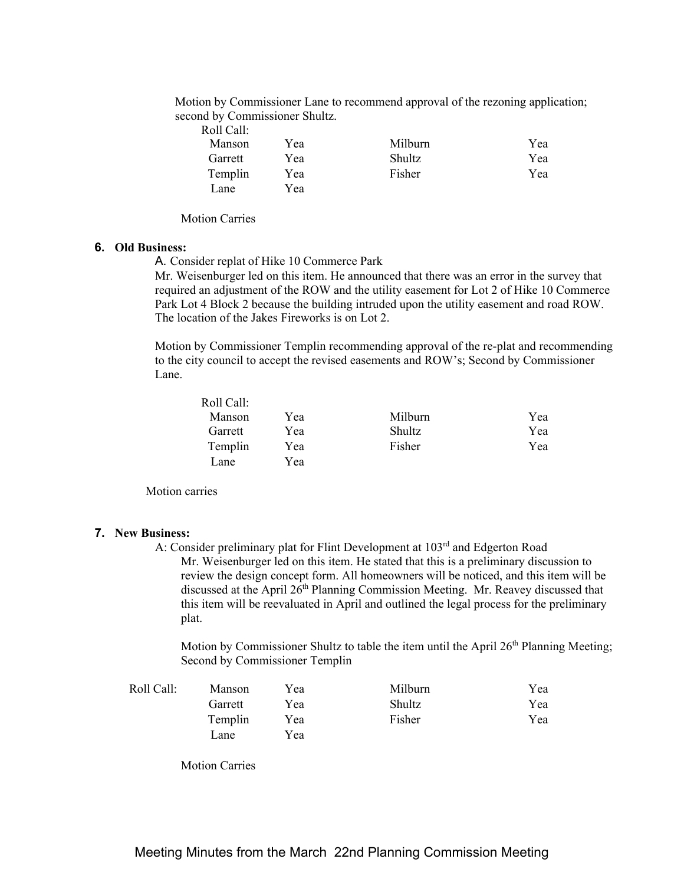Motion by Commissioner Lane to recommend approval of the rezoning application; second by Commissioner Shultz.

| Roll Call: |     |               |     |
|------------|-----|---------------|-----|
| Manson     | Yea | Milburn       | Yea |
| Garrett    | Yea | <b>Shultz</b> | Yea |
| Templin    | Yea | Fisher        | Yea |
| Lane.      | Yea |               |     |

Motion Carries

#### **6. Old Business:**

A. Consider replat of Hike 10 Commerce Park

Mr. Weisenburger led on this item. He announced that there was an error in the survey that required an adjustment of the ROW and the utility easement for Lot 2 of Hike 10 Commerce Park Lot 4 Block 2 because the building intruded upon the utility easement and road ROW. The location of the Jakes Fireworks is on Lot 2.

Motion by Commissioner Templin recommending approval of the re-plat and recommending to the city council to accept the revised easements and ROW's; Second by Commissioner Lane.

| Roll Call: |     |               |     |
|------------|-----|---------------|-----|
| Manson     | Yea | Milburn       | Yea |
| Garrett    | Yea | <b>Shultz</b> | Yea |
| Templin    | Yea | Fisher        | Yea |
| Lane.      | Yea |               |     |

Motion carries

#### **7. New Business:**

A: Consider preliminary plat for Flint Development at 103<sup>rd</sup> and Edgerton Road Mr. Weisenburger led on this item. He stated that this is a preliminary discussion to review the design concept form. All homeowners will be noticed, and this item will be discussed at the April  $26<sup>th</sup>$  Planning Commission Meeting. Mr. Reavey discussed that this item will be reevaluated in April and outlined the legal process for the preliminary plat.

Motion by Commissioner Shultz to table the item until the April  $26<sup>th</sup>$  Planning Meeting; Second by Commissioner Templin

| Roll Call: | Manson  | Yea | Milburn | Yea |
|------------|---------|-----|---------|-----|
|            | Garrett | Yea | Shultz  | Yea |
|            | Templin | Yea | Fisher  | Yea |
|            | Lane    | Yea |         |     |

Motion Carries